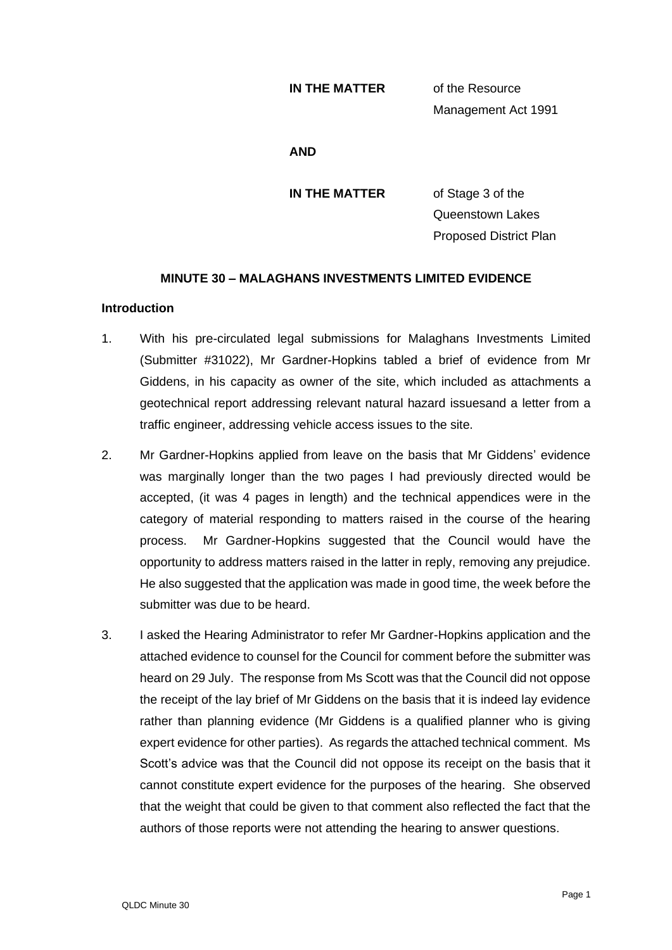### **IN THE MATTER** of the Resource

Management Act 1991

### **AND**

**IN THE MATTER** of Stage 3 of the Queenstown Lakes Proposed District Plan

# **MINUTE 30 – MALAGHANS INVESTMENTS LIMITED EVIDENCE**

## **Introduction**

- 1. With his pre-circulated legal submissions for Malaghans Investments Limited (Submitter #31022), Mr Gardner-Hopkins tabled a brief of evidence from Mr Giddens, in his capacity as owner of the site, which included as attachments a geotechnical report addressing relevant natural hazard issuesand a letter from a traffic engineer, addressing vehicle access issues to the site.
- 2. Mr Gardner-Hopkins applied from leave on the basis that Mr Giddens' evidence was marginally longer than the two pages I had previously directed would be accepted, (it was 4 pages in length) and the technical appendices were in the category of material responding to matters raised in the course of the hearing process. Mr Gardner-Hopkins suggested that the Council would have the opportunity to address matters raised in the latter in reply, removing any prejudice. He also suggested that the application was made in good time, the week before the submitter was due to be heard.
- 3. I asked the Hearing Administrator to refer Mr Gardner-Hopkins application and the attached evidence to counsel for the Council for comment before the submitter was heard on 29 July. The response from Ms Scott was that the Council did not oppose the receipt of the lay brief of Mr Giddens on the basis that it is indeed lay evidence rather than planning evidence (Mr Giddens is a qualified planner who is giving expert evidence for other parties). As regards the attached technical comment. Ms Scott's advice was that the Council did not oppose its receipt on the basis that it cannot constitute expert evidence for the purposes of the hearing. She observed that the weight that could be given to that comment also reflected the fact that the authors of those reports were not attending the hearing to answer questions.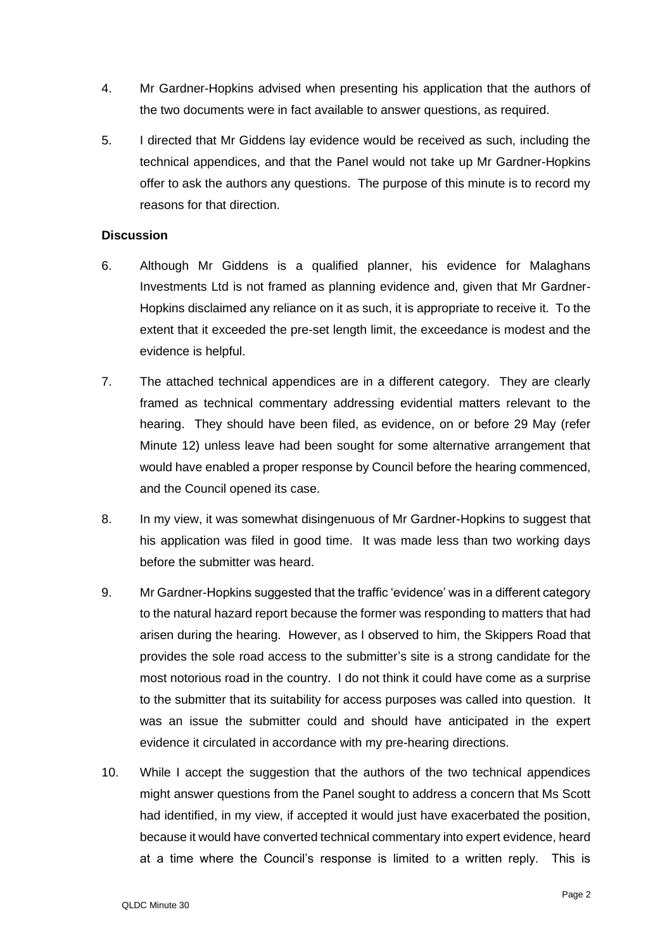- 4. Mr Gardner-Hopkins advised when presenting his application that the authors of the two documents were in fact available to answer questions, as required.
- 5. I directed that Mr Giddens lay evidence would be received as such, including the technical appendices, and that the Panel would not take up Mr Gardner-Hopkins offer to ask the authors any questions. The purpose of this minute is to record my reasons for that direction.

## **Discussion**

- 6. Although Mr Giddens is a qualified planner, his evidence for Malaghans Investments Ltd is not framed as planning evidence and, given that Mr Gardner-Hopkins disclaimed any reliance on it as such, it is appropriate to receive it. To the extent that it exceeded the pre-set length limit, the exceedance is modest and the evidence is helpful.
- 7. The attached technical appendices are in a different category. They are clearly framed as technical commentary addressing evidential matters relevant to the hearing. They should have been filed, as evidence, on or before 29 May (refer Minute 12) unless leave had been sought for some alternative arrangement that would have enabled a proper response by Council before the hearing commenced, and the Council opened its case.
- 8. In my view, it was somewhat disingenuous of Mr Gardner-Hopkins to suggest that his application was filed in good time. It was made less than two working days before the submitter was heard.
- 9. Mr Gardner-Hopkins suggested that the traffic 'evidence' was in a different category to the natural hazard report because the former was responding to matters that had arisen during the hearing. However, as I observed to him, the Skippers Road that provides the sole road access to the submitter's site is a strong candidate for the most notorious road in the country. I do not think it could have come as a surprise to the submitter that its suitability for access purposes was called into question. It was an issue the submitter could and should have anticipated in the expert evidence it circulated in accordance with my pre-hearing directions.
- 10. While I accept the suggestion that the authors of the two technical appendices might answer questions from the Panel sought to address a concern that Ms Scott had identified, in my view, if accepted it would just have exacerbated the position, because it would have converted technical commentary into expert evidence, heard at a time where the Council's response is limited to a written reply. This is